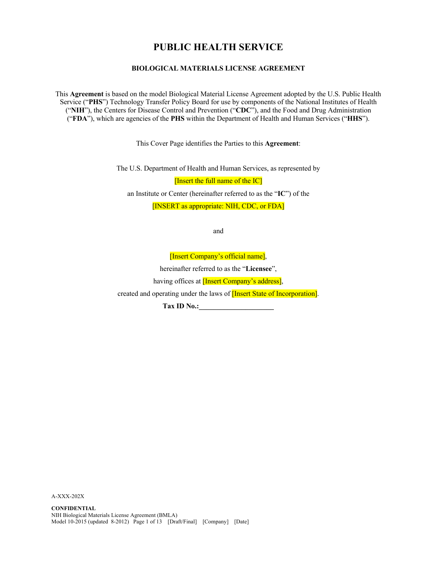# **PUBLIC HEALTH SERVICE**

### **BIOLOGICAL MATERIALS LICENSE AGREEMENT**

This **Agreement** is based on the model Biological Material License Agreement adopted by the U.S. Public Health Service ("**PHS**") Technology Transfer Policy Board for use by components of the National Institutes of Health ("**NIH**"), the Centers for Disease Control and Prevention ("**CDC**"), and the Food and Drug Administration ("**FDA**"), which are agencies of the **PHS** within the Department of Health and Human Services ("**HHS**").

This Cover Page identifies the Parties to this **Agreement**:

The U.S. Department of Health and Human Services, as represented by

[Insert the full name of the IC]

an Institute or Center (hereinafter referred to as the "**IC**") of the

[INSERT as appropriate: NIH, CDC, or FDA]

and

[Insert Company's official name],

hereinafter referred to as the "**Licensee**",

having offices at **[Insert Company's address]**,

created and operating under the laws of **[Insert State of Incorporation]**.

**Tax ID No.:\_\_\_\_\_\_\_\_\_\_\_\_\_\_\_\_\_\_\_\_\_**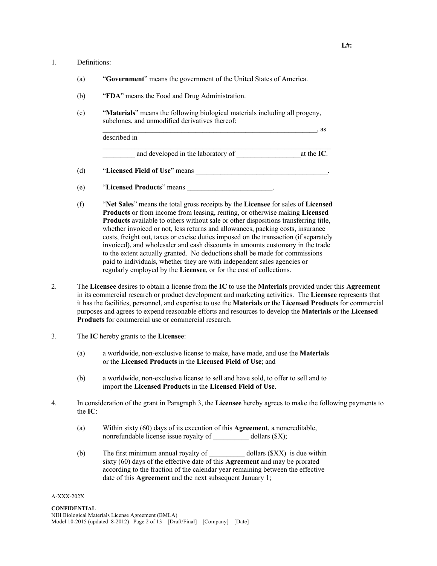### 1. Definitions:

- (a) "**Government**" means the government of the United States of America.
- (b) "**FDA**" means the Food and Drug Administration.
- (c) "**Materials**" means the following biological materials including all progeny, subclones, and unmodified derivatives thereof:

described in

and developed in the laboratory of at the **IC**.

- (d) "**Licensed Field of Use**" means \_\_\_\_\_\_\_\_\_\_\_\_\_\_\_\_\_\_\_\_\_\_\_\_\_\_\_\_\_\_\_\_\_\_\_\_\_.
- (e) "**Licensed Products**" means \_\_\_\_\_\_\_\_\_\_\_\_\_\_\_\_\_\_\_\_\_\_\_\_.
- (f) "**Net Sales**" means the total gross receipts by the **Licensee** for sales of **Licensed Products** or from income from leasing, renting, or otherwise making **Licensed Products** available to others without sale or other dispositions transferring title, whether invoiced or not, less returns and allowances, packing costs, insurance costs, freight out, taxes or excise duties imposed on the transaction (if separately invoiced), and wholesaler and cash discounts in amounts customary in the trade to the extent actually granted. No deductions shall be made for commissions paid to individuals, whether they are with independent sales agencies or regularly employed by the **Licensee**, or for the cost of collections.
- 2. The **Licensee** desires to obtain a license from the **IC** to use the **Materials** provided under this **Agreement** in its commercial research or product development and marketing activities. The **Licensee** represents that it has the facilities, personnel, and expertise to use the **Materials** or the **Licensed Products** for commercial purposes and agrees to expend reasonable efforts and resources to develop the **Materials** or the **Licensed Products** for commercial use or commercial research.
- 3. The **IC** hereby grants to the **Licensee**:
	- (a) a worldwide, non-exclusive license to make, have made, and use the **Materials** or the **Licensed Products** in the **Licensed Field of Use**; and
	- (b) a worldwide, non-exclusive license to sell and have sold, to offer to sell and to import the **Licensed Products** in the **Licensed Field of Use**.
- 4. In consideration of the grant in Paragraph 3, the **Licensee** hereby agrees to make the following payments to the **IC**:
	- (a) Within sixty (60) days of its execution of this **Agreement**, a noncreditable, nonrefundable license issue royalty of dollars (\$X);
	- (b) The first minimum annual royalty of \_\_\_\_\_\_\_\_\_\_ dollars (\$XX) is due within sixty (60) days of the effective date of this **Agreement** and may be prorated according to the fraction of the calendar year remaining between the effective date of this **Agreement** and the next subsequent January 1;

#### A-XXX-202X

 $\blacksquare$  as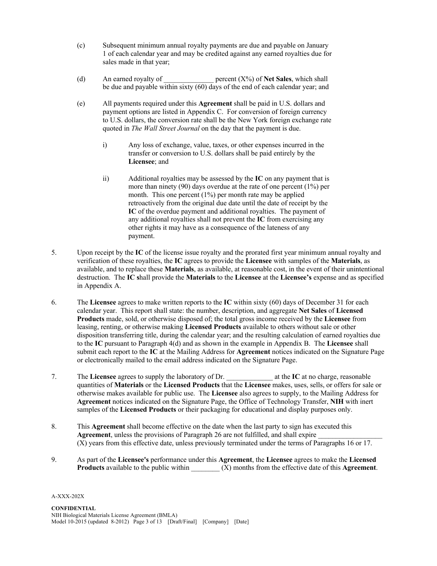- (c) Subsequent minimum annual royalty payments are due and payable on January 1 of each calendar year and may be credited against any earned royalties due for sales made in that year;
- (d) An earned royalty of  $\qquad$  percent  $(X%)$  of **Net Sales**, which shall be due and payable within sixty (60) days of the end of each calendar year; and
- (e) All payments required under this **Agreement** shall be paid in U.S. dollars and payment options are listed in Appendix C. For conversion of foreign currency to U.S. dollars, the conversion rate shall be the New York foreign exchange rate quoted in *The Wall Street Journal* on the day that the payment is due.
	- i) Any loss of exchange, value, taxes, or other expenses incurred in the transfer or conversion to U.S. dollars shall be paid entirely by the **Licensee**; and
	- ii) Additional royalties may be assessed by the **IC** on any payment that is more than ninety (90) days overdue at the rate of one percent (1%) per month. This one percent (1%) per month rate may be applied retroactively from the original due date until the date of receipt by the **IC** of the overdue payment and additional royalties. The payment of any additional royalties shall not prevent the **IC** from exercising any other rights it may have as a consequence of the lateness of any payment.
- 5. Upon receipt by the **IC** of the license issue royalty and the prorated first year minimum annual royalty and verification of these royalties, the **IC** agrees to provide the **Licensee** with samples of the **Materials**, as available, and to replace these **Materials**, as available, at reasonable cost, in the event of their unintentional destruction. The **IC s**hall provide the **Materials** to the **Licensee** at the **Licensee's** expense and as specified in Appendix A.
- 6. The **Licensee** agrees to make written reports to the **IC** within sixty (60) days of December 31 for each calendar year. This report shall state: the number, description, and aggregate **Net Sales** of **Licensed Products** made, sold, or otherwise disposed of; the total gross income received by the **Licensee** from leasing, renting, or otherwise making **Licensed Products** available to others without sale or other disposition transferring title, during the calendar year; and the resulting calculation of earned royalties due to the **IC** pursuant to Paragraph 4(d) and as shown in the example in Appendix B. The **Licensee** shall submit each report to the **IC** at the Mailing Address for **Agreement** notices indicated on the Signature Page or electronically mailed to the email address indicated on the Signature Page.
- 7. The **Licensee** agrees to supply the laboratory of Dr.  $\alpha$  at the **IC** at no charge, reasonable quantities of **Materials** or the **Licensed Products** that the **Licensee** makes, uses, sells, or offers for sale or otherwise makes available for public use. The **Licensee** also agrees to supply, to the Mailing Address for **Agreement** notices indicated on the Signature Page, the Office of Technology Transfer, **NIH** with inert samples of the **Licensed Products** or their packaging for educational and display purposes only.
- 8. This **Agreement** shall become effective on the date when the last party to sign has executed this Agreement, unless the provisions of Paragraph 26 are not fulfilled, and shall expire (X) years from this effective date, unless previously terminated under the terms of Paragraphs 16 or 17.
- 9. As part of the **Licensee's** performance under this **Agreement**, the **Licensee** agrees to make the **Licensed Products** available to the public within  $(X)$  months from the effective date of this **Agreement**.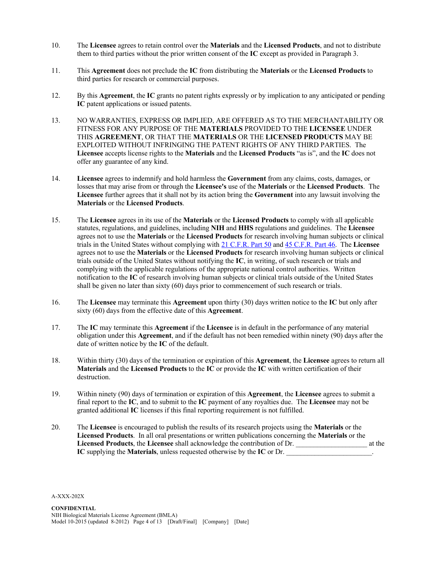- 10. The **Licensee** agrees to retain control over the **Materials** and the **Licensed Products**, and not to distribute them to third parties without the prior written consent of the **IC** except as provided in Paragraph 3.
- 11. This **Agreement** does not preclude the **IC** from distributing the **Materials** or the **Licensed Products** to third parties for research or commercial purposes.
- 12. By this **Agreement**, the **IC** grants no patent rights expressly or by implication to any anticipated or pending **IC** patent applications or issued patents.
- 13. NO WARRANTIES, EXPRESS OR IMPLIED, ARE OFFERED AS TO THE MERCHANTABILITY OR FITNESS FOR ANY PURPOSE OF THE **MATERIALS** PROVIDED TO THE **LICENSEE** UNDER THIS **AGREEMENT**, OR THAT THE **MATERIALS** OR THE **LICENSED PRODUCTS** MAY BE EXPLOITED WITHOUT INFRINGING THE PATENT RIGHTS OF ANY THIRD PARTIES. The **Licensee** accepts license rights to the **Materials** and the **Licensed Products** "as is", and the **IC** does not offer any guarantee of any kind.
- 14. **Licensee** agrees to indemnify and hold harmless the **Government** from any claims, costs, damages, or losses that may arise from or through the **Licensee's** use of the **Materials** or the **Licensed Products**. The **Licensee** further agrees that it shall not by its action bring the **Government** into any lawsuit involving the **Materials** or the **Licensed Products**.
- 15. The **Licensee** agrees in its use of the **Materials** or the **Licensed Products** to comply with all applicable statutes, regulations, and guidelines, including **NIH** and **HHS** regulations and guidelines. The **Licensee** agrees not to use the **Materials** or the **Licensed Products** for research involving human subjects or clinical trials in the United States without complying with 21 C.F.R. Part 50 and 45 C.F.R. Part 46. The **Licensee** agrees not to use the **Materials** or the **Licensed Products** for research involving human subjects or clinical trials outside of the United States without notifying the **IC**, in writing, of such research or trials and complying with the applicable regulations of the appropriate national control authorities. Written notification to the **IC** of research involving human subjects or clinical trials outside of the United States shall be given no later than sixty (60) days prior to commencement of such research or trials.
- 16. The **Licensee** may terminate this **Agreement** upon thirty (30) days written notice to the **IC** but only after sixty (60) days from the effective date of this **Agreement**.
- 17. The **IC** may terminate this **Agreement** if the **Licensee** is in default in the performance of any material obligation under this **Agreement**, and if the default has not been remedied within ninety (90) days after the date of written notice by the **IC** of the default.
- 18. Within thirty (30) days of the termination or expiration of this **Agreement**, the **Licensee** agrees to return all **Materials** and the **Licensed Products** to the **IC** or provide the **IC** with written certification of their destruction.
- 19. Within ninety (90) days of termination or expiration of this **Agreement**, the **Licensee** agrees to submit a final report to the **IC**, and to submit to the **IC** payment of any royalties due. The **Licensee** may not be granted additional **IC** licenses if this final reporting requirement is not fulfilled.
- 20. The **Licensee** is encouraged to publish the results of its research projects using the **Materials** or the **Licensed Products**. In all oral presentations or written publications concerning the **Materials** or the **Licensed Products**, the **Licensee** shall acknowledge the contribution of Dr. \_\_\_\_\_\_\_\_\_\_\_\_\_\_\_\_\_\_\_\_ at the **IC** supplying the **Materials**, unless requested otherwise by the **IC** or Dr.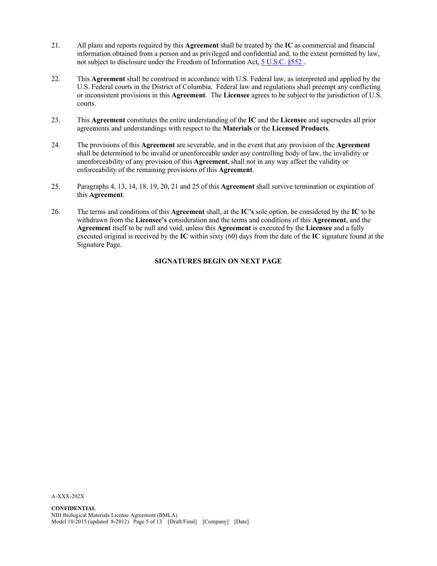- 21. All plans and reports required by this **Agreement** shall be treated by the **IC** as commercial and financial information obtained from a person and as privileged and confidential and, to the extent permitted by law, not subject to disclosure under the Freedom of Information Act, 5 U.S.C. §552 .
- 22. This **Agreement** shall be construed in accordance with U.S. Federal law, as interpreted and applied by the U.S. Federal courts in the District of Columbia. Federal law and regulations shall preempt any conflicting or inconsistent provisions in this **Agreement**. The **Licensee** agrees to be subject to the jurisdiction of U.S. courts.
- 23. This **Agreement** constitutes the entire understanding of the **IC** and the **Licensee** and supersedes all prior agreements and understandings with respect to the **Materials** or the **Licensed Products**.
- 24. The provisions of this **Agreement** are severable, and in the event that any provision of the **Agreement** shall be determined to be invalid or unenforceable under any controlling body of law, the invalidity or unenforceability of any provision of this **Agreement**, shall not in any way affect the validity or enforceability of the remaining provisions of this **Agreement**.
- 25. Paragraphs 4, 13, 14, 18, 19, 20, 21 and 25 of this **Agreement** shall survive termination or expiration of this **Agreement**.
- 26. The terms and conditions of this **Agreement** shall, at the **IC's** sole option, be considered by the **IC** to be withdrawn from the **Licensee's** consideration and the terms and conditions of this **Agreement**, and the **Agreement** itself to be null and void, unless this **Agreement** is executed by the **Licensee** and a fully executed original is received by the **IC** within sixty (60) days from the date of the **IC** signature found at the Signature Page.

### **SIGNATURES BEGIN ON NEXT PAGE**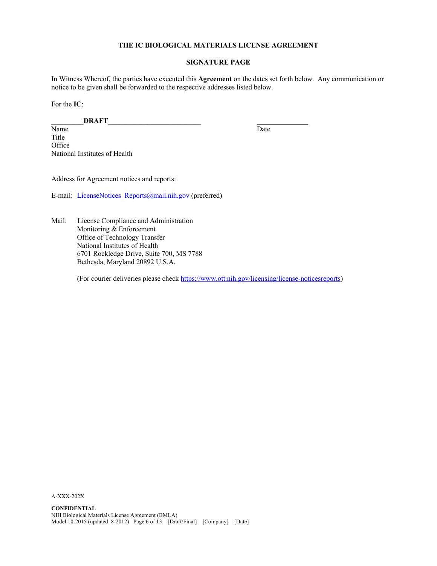### **THE IC BIOLOGICAL MATERIALS LICENSE AGREEMENT**

### **SIGNATURE PAGE**

In Witness Whereof, the parties have executed this **Agreement** on the dates set forth below. Any communication or notice to be given shall be forwarded to the respective addresses listed below.

For the **IC**:

\_\_\_\_\_\_\_\_\_**DRAFT**\_\_\_\_\_\_\_\_\_\_\_\_\_\_\_\_\_\_\_\_\_\_\_\_\_\_

Name Date Title **Office** National Institutes of Health

Address for Agreement notices and reports:

E-mail: LicenseNotices Reports@mail.nih.gov (preferred)

Mail: License Compliance and Administration Monitoring & Enforcement Office of Technology Transfer National Institutes of Health 6701 Rockledge Drive, Suite 700, MS 7788 Bethesda, Maryland 20892 U.S.A.

(For courier deliveries please check https://www.ott.nih.gov/licensing/license-noticesreports)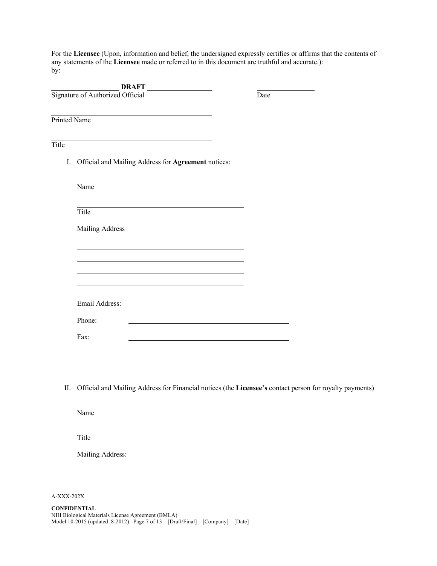For the **Licensee** (Upon, information and belief, the undersigned expressly certifies or affirms that the contents of any statements of the **Licensee** made or referred to in this document are truthful and accurate.): by:

|                     | <b>DRAFT</b>                                                                                                                           |      |
|---------------------|----------------------------------------------------------------------------------------------------------------------------------------|------|
|                     | Signature of Authorized Official                                                                                                       | Date |
| <b>Printed Name</b> |                                                                                                                                        |      |
| Title               |                                                                                                                                        |      |
| Ι.                  | Official and Mailing Address for Agreement notices:                                                                                    |      |
|                     | Name                                                                                                                                   |      |
|                     | Title                                                                                                                                  |      |
|                     | Mailing Address                                                                                                                        |      |
|                     |                                                                                                                                        |      |
|                     |                                                                                                                                        |      |
|                     | Email Address:<br><u> 1980 - Jan Stein Stein Stein Stein Stein Stein Stein Stein Stein Stein Stein Stein Stein Stein Stein Stein S</u> |      |
|                     | Phone:                                                                                                                                 |      |
|                     | Fax:                                                                                                                                   |      |

II. Official and Mailing Address for Financial notices (the **Licensee's** contact person for royalty payments)

Name

Title

Mailing Address: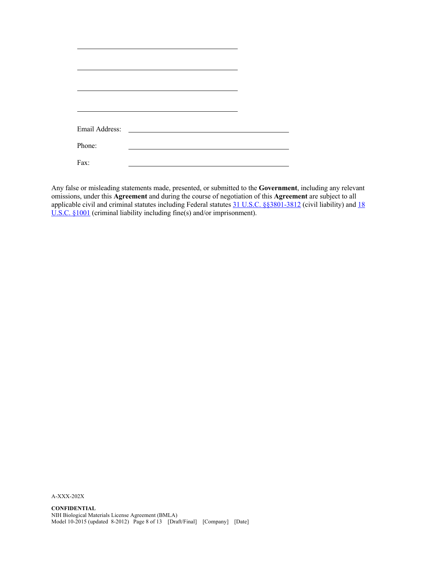| Email Address: | <u> 1970 - Andrea State Barbara, amerikan per</u> |  |
|----------------|---------------------------------------------------|--|
|                |                                                   |  |
| Phone:         |                                                   |  |
|                |                                                   |  |
| Fax:           |                                                   |  |
|                |                                                   |  |

Any false or misleading statements made, presented, or submitted to the **Government**, including any relevant omissions, under this **Agreement** and during the course of negotiation of this **Agreement** are subject to all applicable civil and criminal statutes including Federal statutes 31 U.S.C. §§3801-3812 (civil liability) and 18 U.S.C. §1001 (criminal liability including fine(s) and/or imprisonment).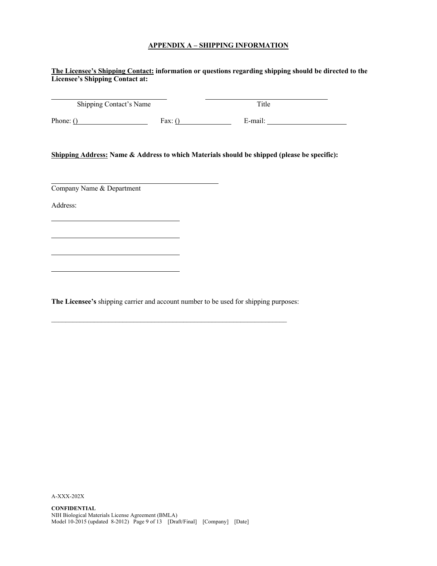## **APPENDIX A – SHIPPING INFORMATION**

|                           | Shipping Contact's Name | Title                                                                                       |
|---------------------------|-------------------------|---------------------------------------------------------------------------------------------|
|                           |                         | Phone: $\underline{()}$ Fax: $\underline{()}$ E-mail:                                       |
|                           |                         | Shipping Address: Name & Address to which Materials should be shipped (please be specific): |
|                           |                         |                                                                                             |
| Company Name & Department |                         |                                                                                             |
| Address:                  |                         |                                                                                             |
|                           |                         |                                                                                             |
|                           |                         |                                                                                             |
|                           |                         |                                                                                             |
|                           |                         |                                                                                             |
|                           |                         |                                                                                             |
|                           |                         |                                                                                             |
|                           |                         |                                                                                             |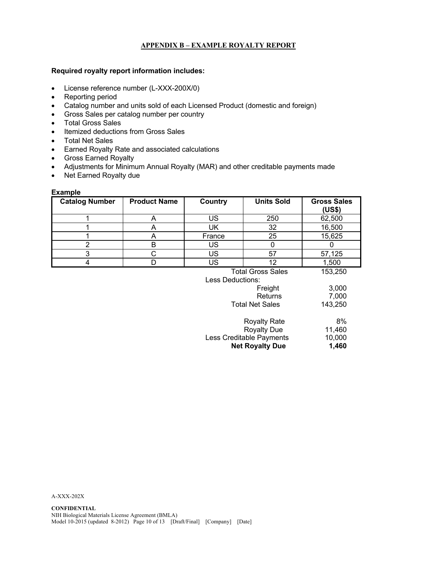## **APPENDIX B – EXAMPLE ROYALTY REPORT**

### **Required royalty report information includes:**

- License reference number (L-XXX-200X/0)
- Reporting period
- Catalog number and units sold of each Licensed Product (domestic and foreign)
- Gross Sales per catalog number per country
- Total Gross Sales
- Itemized deductions from Gross Sales
- Total Net Sales
- Earned Royalty Rate and associated calculations
- Gross Earned Royalty
- Adjustments for Minimum Annual Royalty (MAR) and other creditable payments made
- Net Earned Royalty due

### **Example**

| <b>Catalog Number</b> | <b>Product Name</b> | Country          | <b>Units Sold</b>        | <b>Gross Sales</b><br>(US\$) |
|-----------------------|---------------------|------------------|--------------------------|------------------------------|
|                       | A                   | <b>US</b>        | 250                      | 62,500                       |
|                       | A                   | UK               | 32                       | 16,500                       |
|                       | A                   | France           | 25                       | 15,625                       |
| 2                     | В                   | <b>US</b>        | 0                        | $\Omega$                     |
| 3                     | С                   | <b>US</b>        | 57                       | 57,125                       |
| 4                     | D                   | <b>US</b>        | 12                       | 1,500                        |
|                       |                     | Less Deductions: | <b>Total Gross Sales</b> | 153,250                      |
|                       |                     |                  | Freight                  | 3,000                        |
|                       |                     |                  | Returns                  | 7,000                        |
|                       |                     |                  | <b>Total Net Sales</b>   | 143,250                      |
|                       |                     |                  | <b>Royalty Rate</b>      | 8%                           |
|                       |                     |                  | <b>Royalty Due</b>       | 11,460                       |
|                       |                     |                  | Less Creditable Payments | 10,000                       |

Less Creditable Payments 10,000<br>**Net Royalty Due** 1,460

**Net Royalty Due**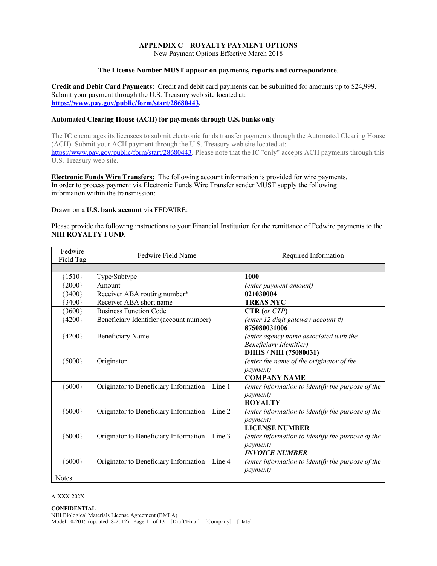### **APPENDIX C – ROYALTY PAYMENT OPTIONS**

New Payment Options Effective March 2018

### **The License Number MUST appear on payments, reports and correspondence**.

**Credit and Debit Card Payments:** Credit and debit card payments can be submitted for amounts up to \$24,999. Submit your payment through the U.S. Treasury web site located at: **https://www.pay.gov/public/form/start/28680443.**

### **Automated Clearing House (ACH) for payments through U.S. banks only**

The **IC** encourages its licensees to submit electronic funds transfer payments through the Automated Clearing House (ACH). Submit your ACH payment through the U.S. Treasury web site located at: https://www.pay.gov/public/form/start/28680443. Please note that the IC "only" accepts ACH payments through this U.S. Treasury web site.

**Electronic Funds Wire Transfers:** The following account information is provided for wire payments. In order to process payment via Electronic Funds Wire Transfer sender MUST supply the following information within the transmission:

### Drawn on a **U.S. bank account** via FEDWIRE:

Please provide the following instructions to your Financial Institution for the remittance of Fedwire payments to the **NIH ROYALTY FUND**.

| Fedwire<br>Field Tag | Fedwire Field Name                             | Required Information                                                                           |
|----------------------|------------------------------------------------|------------------------------------------------------------------------------------------------|
|                      |                                                |                                                                                                |
| ${1510}$             | Type/Subtype                                   | 1000                                                                                           |
| ${2000}$             | Amount                                         | (enter payment amount)                                                                         |
| ${3400}$             | Receiver ABA routing number*                   | 021030004                                                                                      |
| ${3400}$             | Receiver ABA short name                        | <b>TREAS NYC</b>                                                                               |
| ${3600}$             | <b>Business Function Code</b>                  | CTR (or CTP)                                                                                   |
| ${4200}$             | Beneficiary Identifier (account number)        | (enter 12 digit gateway account #)<br>875080031006                                             |
| ${4200}$             | Beneficiary Name                               | (enter agency name associated with the<br>Beneficiary Identifier)<br>DHHS / NIH (75080031)     |
| ${5000}$             | Originator                                     | (enter the name of the originator of the<br><i>payment</i> )<br><b>COMPANY NAME</b>            |
| ${6000}$             | Originator to Beneficiary Information - Line 1 | (enter information to identify the purpose of the<br><i>payment</i> )<br><b>ROYALTY</b>        |
| ${6000}$             | Originator to Beneficiary Information - Line 2 | (enter information to identify the purpose of the<br><i>payment</i> )<br><b>LICENSE NUMBER</b> |
| ${6000}$             | Originator to Beneficiary Information - Line 3 | (enter information to identify the purpose of the<br><i>payment</i> )<br><b>INVOICE NUMBER</b> |
| ${6000}$             | Originator to Beneficiary Information - Line 4 | (enter information to identify the purpose of the<br><i>payment</i> )                          |
| Notes:               |                                                |                                                                                                |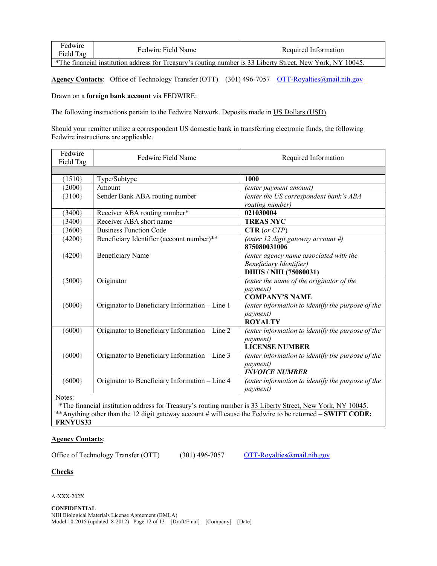| Fedwire<br>Field Tag                                                                                       | Fedwire Field Name | Required Information |  |  |
|------------------------------------------------------------------------------------------------------------|--------------------|----------------------|--|--|
| *The financial institution address for Treasury's routing number is 33 Liberty Street, New York, NY 10045. |                    |                      |  |  |

Agency Contacts: Office of Technology Transfer (OTT) (301) 496-7057 OTT-Royalties@mail.nih.gov

Drawn on a **foreign bank account** via FEDWIRE:

The following instructions pertain to the Fedwire Network. Deposits made in US Dollars (USD).

Should your remitter utilize a correspondent US domestic bank in transferring electronic funds, the following Fedwire instructions are applicable.

| Fedwire<br>Field Tag | Fedwire Field Name                                                                                         | Required Information                              |
|----------------------|------------------------------------------------------------------------------------------------------------|---------------------------------------------------|
|                      |                                                                                                            |                                                   |
| ${1510}$             | Type/Subtype                                                                                               | 1000                                              |
| ${2000}$             | Amount                                                                                                     | (enter payment amount)                            |
| ${3100}$             | Sender Bank ABA routing number                                                                             | (enter the US correspondent bank's ABA            |
|                      |                                                                                                            | routing number)                                   |
| ${3400}$             | Receiver ABA routing number*                                                                               | 021030004                                         |
| ${3400}$             | Receiver ABA short name                                                                                    | <b>TREAS NYC</b>                                  |
| ${3600}$             | <b>Business Function Code</b>                                                                              | CTR (or CTP)                                      |
| ${4200}$             | Beneficiary Identifier (account number)**                                                                  | (enter 12 digit gateway account #)                |
|                      |                                                                                                            | 875080031006                                      |
| ${4200}$             | <b>Beneficiary Name</b>                                                                                    | (enter agency name associated with the            |
|                      |                                                                                                            | Beneficiary Identifier)                           |
|                      |                                                                                                            | DHHS / NIH (75080031)                             |
| ${5000}$             | Originator                                                                                                 | (enter the name of the originator of the          |
|                      |                                                                                                            | <i>payment</i> )                                  |
|                      |                                                                                                            | <b>COMPANY'S NAME</b>                             |
| ${6000}$             | Originator to Beneficiary Information - Line 1                                                             | (enter information to identify the purpose of the |
|                      |                                                                                                            | <i>payment</i> )                                  |
|                      |                                                                                                            | <b>ROYALTY</b>                                    |
| ${6000}$             | Originator to Beneficiary Information - Line 2                                                             | (enter information to identify the purpose of the |
|                      |                                                                                                            | <i>payment</i> )                                  |
|                      |                                                                                                            | <b>LICENSE NUMBER</b>                             |
| ${6000}$             | Originator to Beneficiary Information - Line 3                                                             | (enter information to identify the purpose of the |
|                      |                                                                                                            | <i>payment</i> )                                  |
|                      |                                                                                                            | <b>INVOICE NUMBER</b>                             |
| ${6000}$             | Originator to Beneficiary Information - Line 4                                                             | (enter information to identify the purpose of the |
|                      |                                                                                                            | <i>payment</i> )                                  |
| Notes:               |                                                                                                            |                                                   |
|                      | *The financial institution address for Treasury's routing number is 33 Liberty Street, New York, NY 10045. |                                                   |

\*\*Anything other than the 12 digit gateway account # will cause the Fedwire to be returned – **SWIFT CODE: FRNYUS33**

### **Agency Contacts**:

Office of Technology Transfer (OTT) (301) 496-7057 OTT-Royalties@mail.nih.gov

### **Checks**